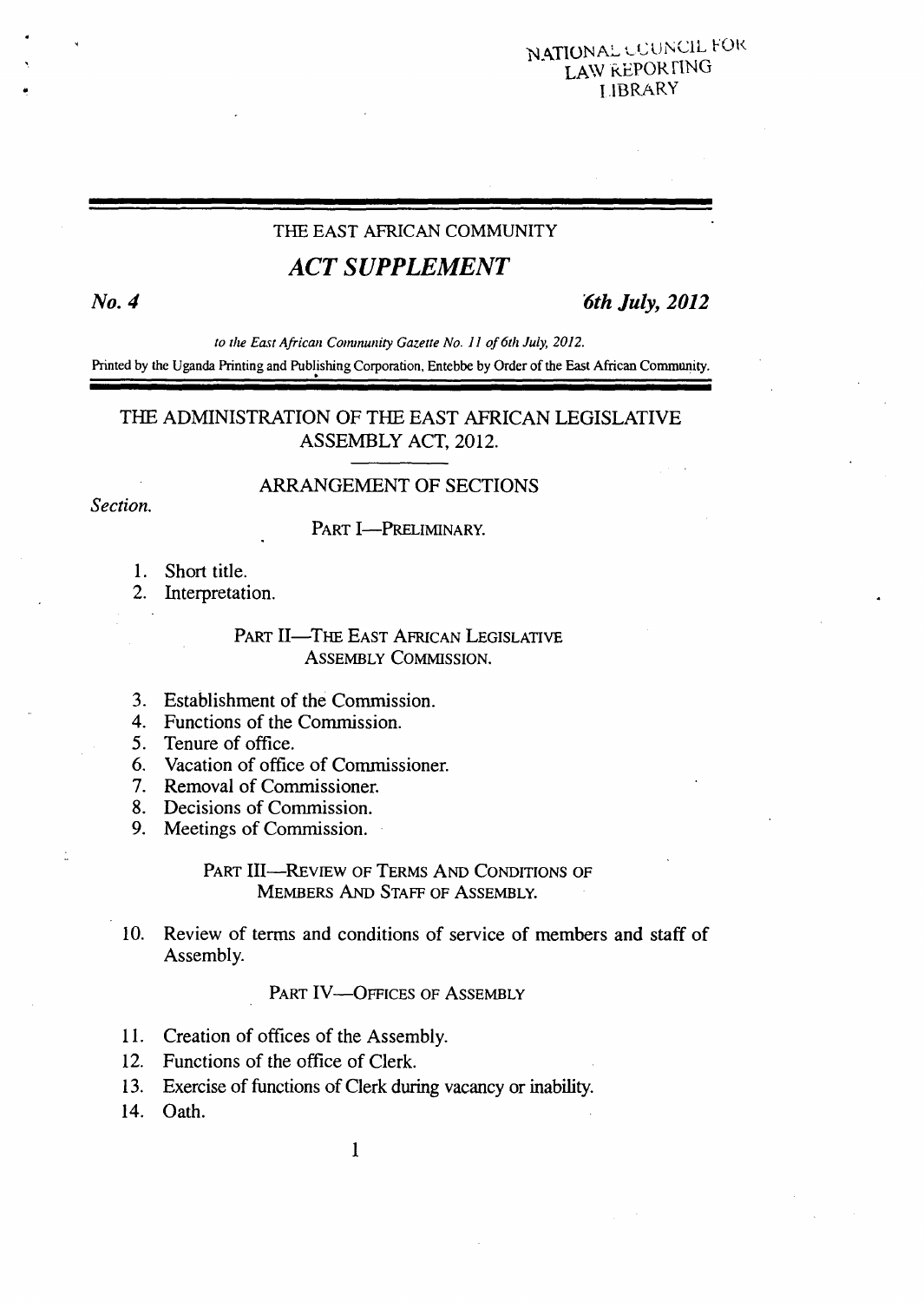### NATIONAL COUNCIL FOR LAW kEPORF1NG I IBRARY

#### THE EAST AFRICAN COMMUNITY

# *ACT SUPPLEMENT*

 $\cdot$ 

*No.4 6th July, 2012* 

*to the East African Coninunizy Gazette No. 11 of 6th July, 2012.*  Printed by the Uganda Printing and Publishing Corporation, Entebbe by Order of the East African Community.

## THE ADMINISTRATION OF THE EAST AFRICAN LEGISLATIVE ASSEMBLY ACT, 2012.

### ARRANGEMENT OF SECTIONS

Section.

#### PART I-PRELIMINARY.

- Short title.
- 2. Interpretation.

#### PART II—THE EAST AFRICAN LEGISLATIVE ASSEMBLY COMMISSION.

- Establishment of the Commission.
- Functions of the Commission.
- 5. Tenure of office.
- Vacation of office of Commissioner.
- 7. Removal of Commissioner.
- Decisions of Commission.
- 9. Meetings of Commission.

#### PART III—REVIEW OF TERMS AND CONDITIONS OF MEMBERS AND STAFF OF ASSEMBLY.

 $10<sub>l</sub>$ Review of terms and conditions of service of members and staff of Assembly.

#### PART IV-OFFICES OF ASSEMBLY

- 11. Creation of offices of the Assembly.
- 12. Functions of the office of Clerk.
- Exercise of functions of Clerk during vacancy or inability.
- 14. Oath.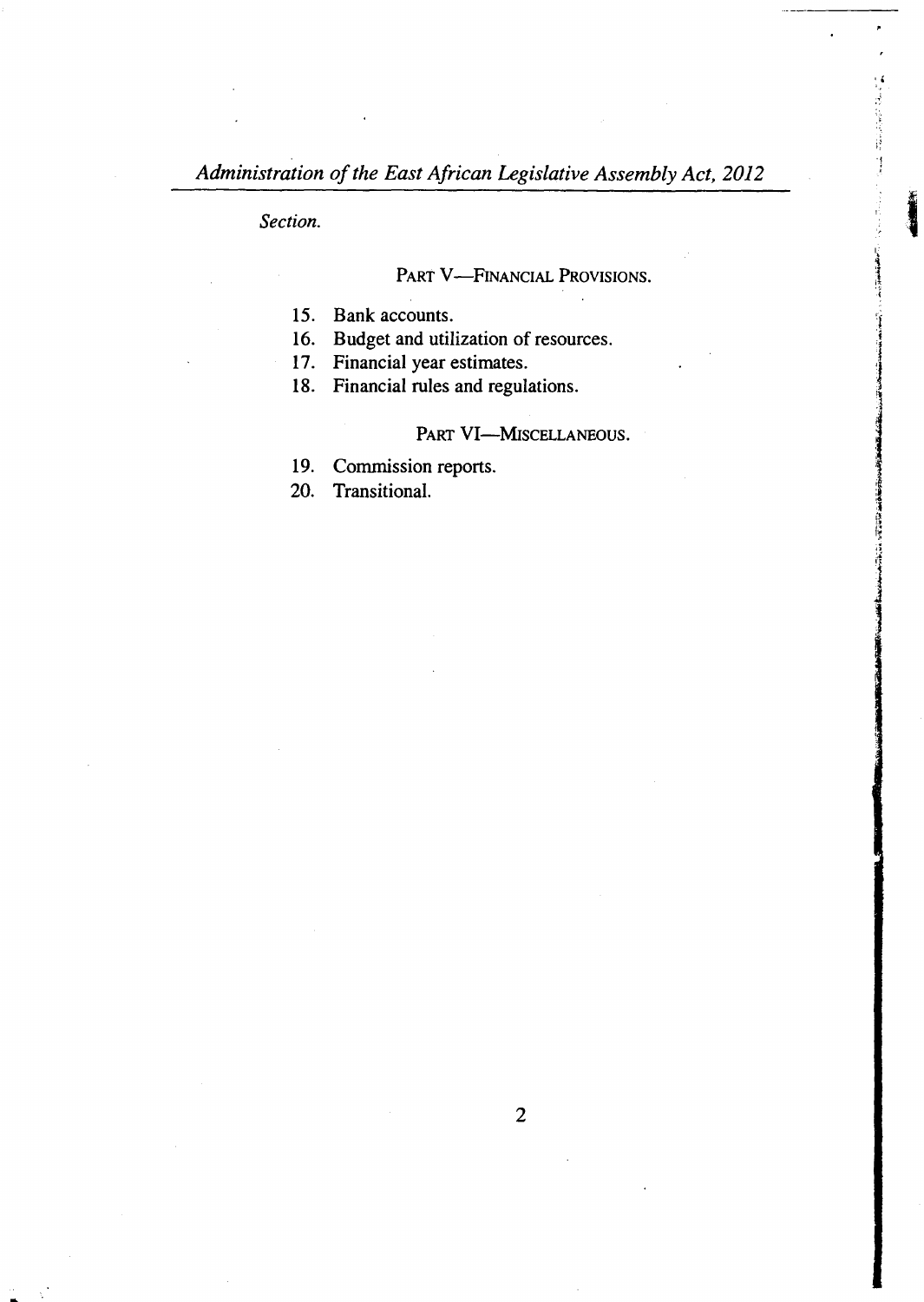*Section.* 

PART V-FINANCIAL PROVISIONS.

15. Bank accounts.

16. Budget and utilization of resources.

17. Financial year estimates.

18. Financial rules and regulations.

#### PART VI-MISCELLANEOUS.

19. Commission reports.

Transitional. 20.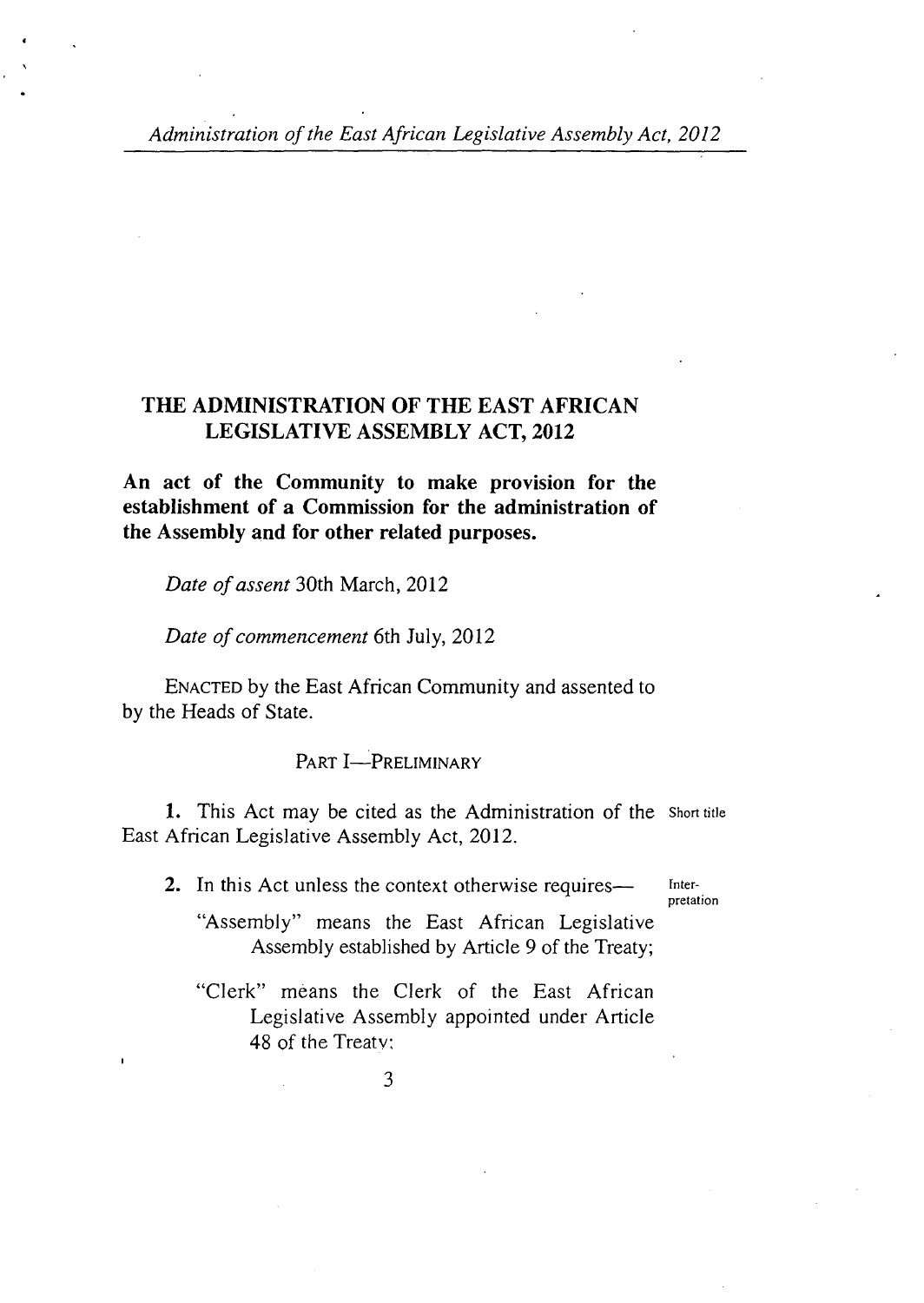## **THE ADMINISTRATION OF THE EAST AFRICAN LEGISLATIVE ASSEMBLY ACT, 2012**

**An act of the Community to make provision for the establishment of a Commission for the administration of the Assembly and for other related purposes.** 

*Date of assent* 30th March, 2012

*Date of commencement* 6th July, 2012

ENACTED by the East African Community and assented to by the Heads of State.

PART **I**-PRELIMINARY

1. This Act may be cited as the Administration of the Short title East African Legislative Assembly Act, 2012.

2. In this Act unless the context otherwise requires— **Inter-**

**pretation** 

"Assembly" means the East African Legislative Assembly established by Article 9 of the Treaty;

"Clerk" means the Clerk of the East African Legislative Assembly appointed under Article 48 of the Treaty: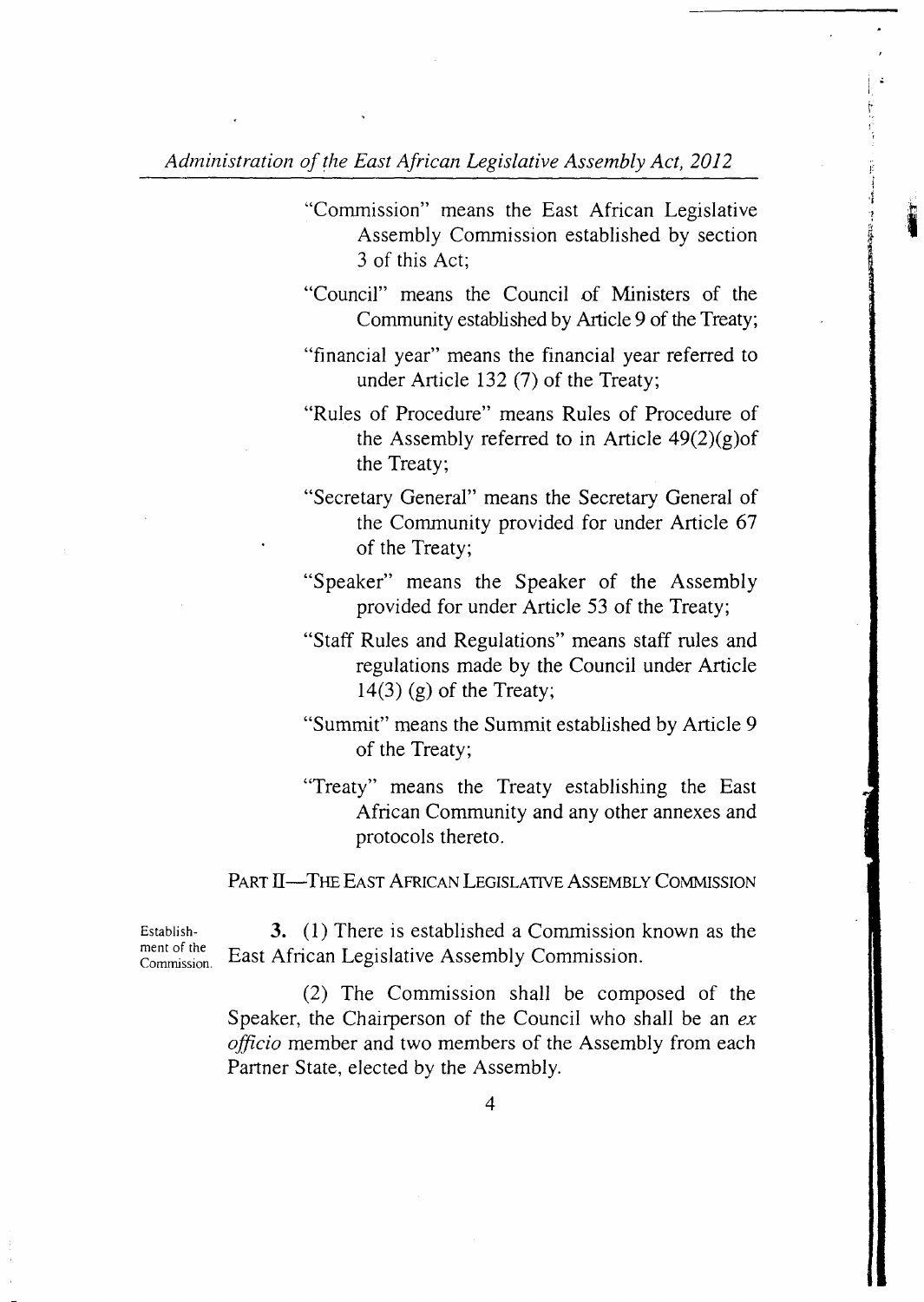- "Comrnission" means the East African Legislative Assembly Commission established by section 3 of this Act;
- "Council" means the Council of Ministers of the Community established by Article 9 of the Treaty;
- "financial year" means the financial year referred to under Article 132 (7) of the Treaty;
- "Rules of Procedure" means Rules of Procedure of the Assembly referred to in Article  $49(2)(g)$ of the Treaty;
- "Secretary General" means the Secretary General of the Community provided for under Article 67 of the Treaty;
- "Speaker" means the Speaker of the Assembly provided for under Article 53 of the Treaty;
- "Staff Rules and Regulations" means staff rules and regulations made by the Council under Article  $14(3)$  (g) of the Treaty;
- "Summit" means the Summit established by Article 9 of the Treaty;
- "Treaty" means the Treaty establishing the East African Community and any other annexes and protocols thereto.

PART II—THE EAST AFRICAN LEGISLATIVE ASSEMBLY COMMISSION

ment of the

Establish- 3. (1) There is established a Commission known as the ment of the Commission. East African Legislative Assembly Commission.

> (2) The Commission shall be composed of the Speaker, the Chairperson of the Council who shall be an *ex*  officio member and two members of the Assembly from each Partner State, elected by the Assembly.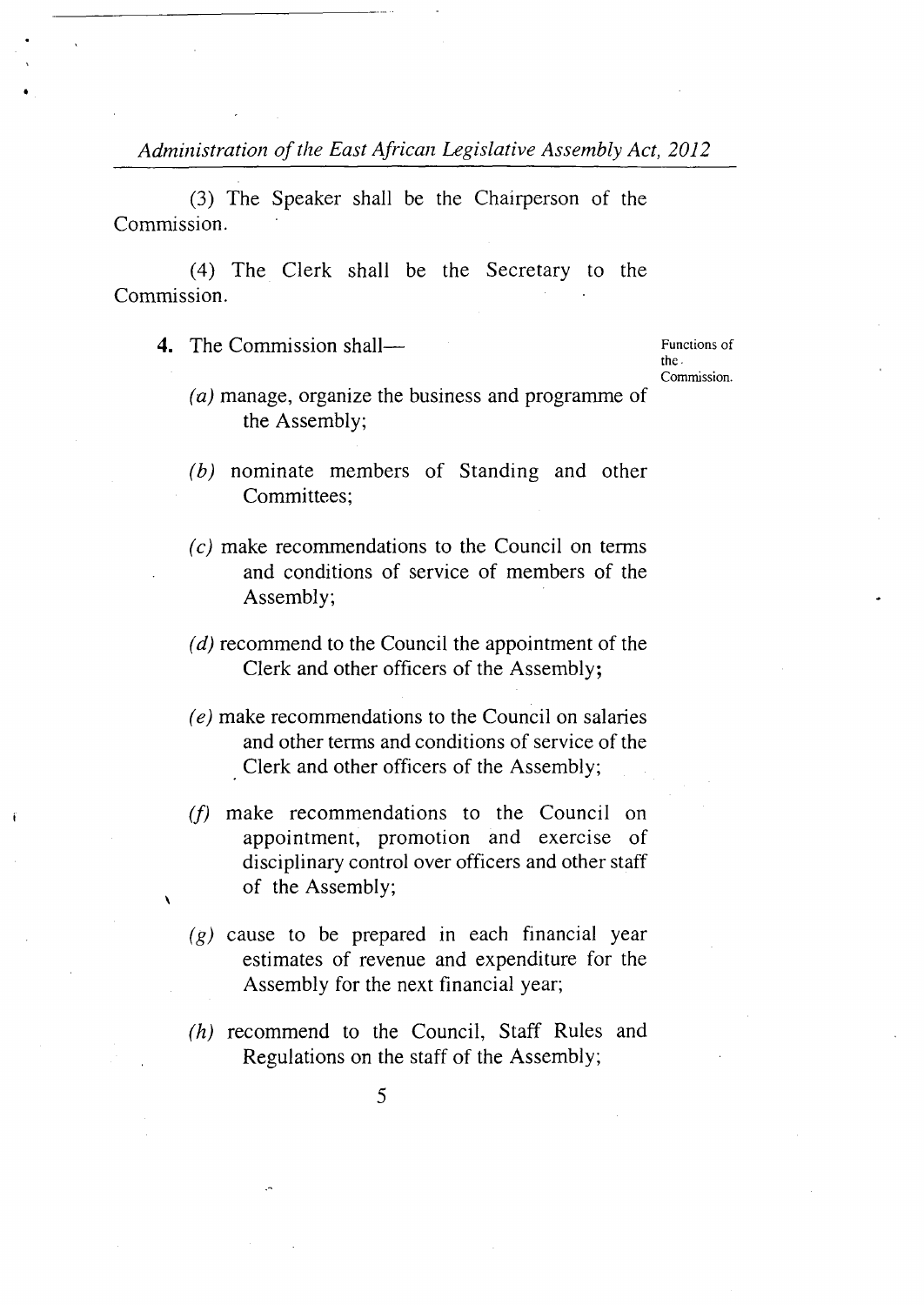(3) The Speaker shall be the Chairperson of the Commission.

(4) The Clerk shall be the Secretary to the Commission.

4. The Commission shall—

**I** 

Functions of the. Commission.

- $(a)$  manage, organize the business and programme of the Assembly;
- $(b)$  nominate members of Standing and other Committees;
- $(c)$  make recommendations to the Council on terms and conditions of service of members of the Assembly;
- $r(d)$  recommend to the Council the appointment of the Clerk and other officers of the Assembly;
- $(e)$  make recommendations to the Council on salaries and other terms and conditions of service of the Clerk and other officers of the Assembly;
- $(f)$  make recommendations to the Council on appointment, promotion and exercise of disciplinary control over officers and other staff of the Assembly;
- $(g)$  cause to be prepared in each financial year estimates of revenue and expenditure for the Assembly for the next financial year;
- $(h)$  recommend to the Council, Staff Rules and Regulations on the staff of the Assembly;
	- *5*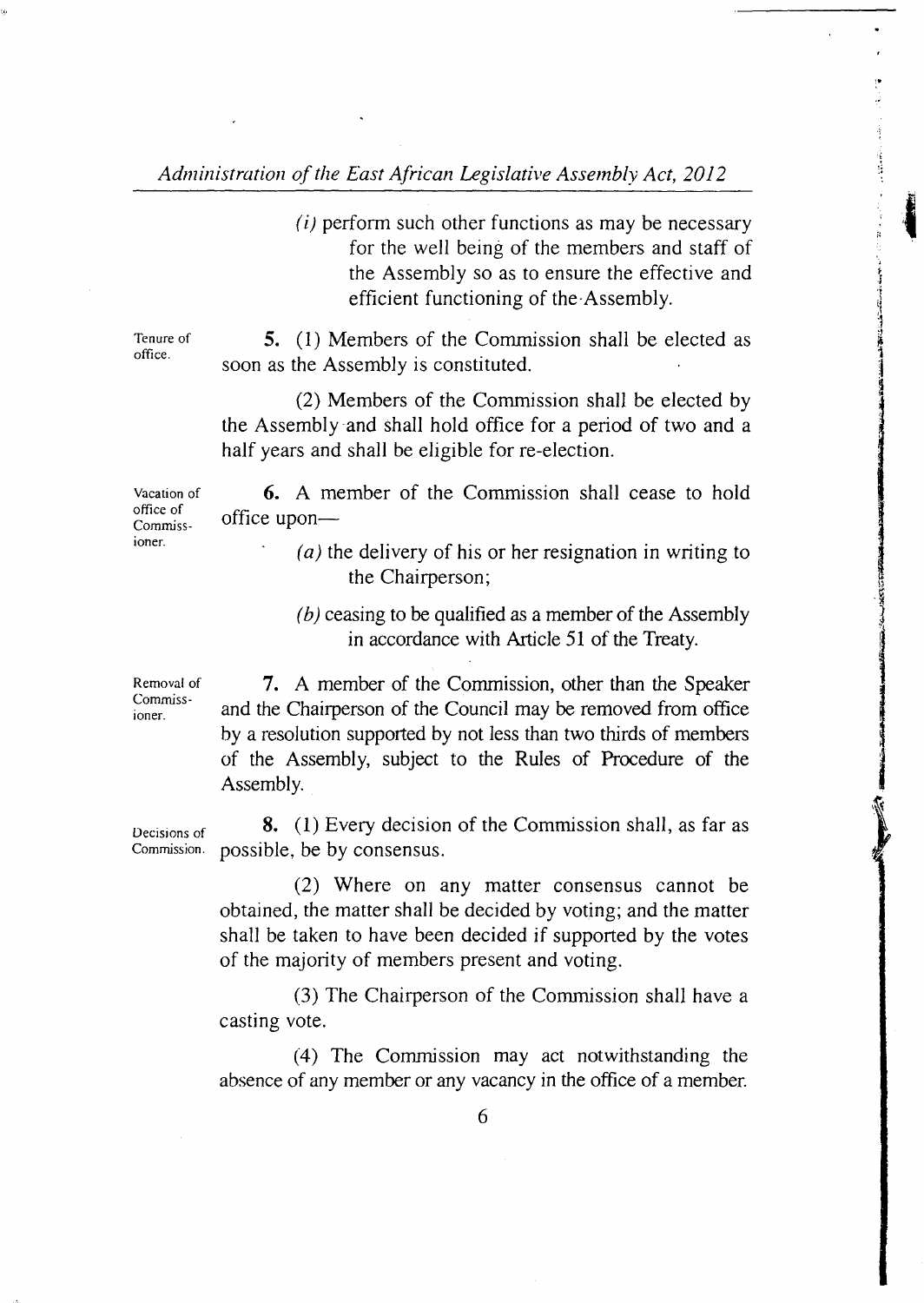*(i)* perform such other functions as may be necessary for the well being of the members and staff of the Assembly so as to ensure the effective and efficient functioning of the Assembly.

**11** 

Tenure of **5.** (1) Members of the Commission shall be elected as office. soon as the Assembly is constituted.

> (2) Members of the Commission shall be elected by the Assembly-and shall hold office for a period of two and a half years and shall be eligible for re-election.

Vacation of  $\overline{6}$ . A member of the Commission shall cease to hold office of  $\frac{\text{once of}}{\text{Commiss}}$  office upon-

- ioner. *(a)* the delivery of his or her resignation in writing to the Chairperson;
	- *(b)* ceasing to be qualified as a member of the Assembly in accordance with Article 51 of the Treaty.

Removal of  $\frac{7}{2}$ . A member of the Commission, other than the Speaker  $C_{\text{onimass}}$  and the Chairperson of the Council may be removed from office by a resolution supported by not less than two thirds of members of the Assembly, subject to the Rules of Procedure of the Assembly.

Decisions of **8.** (1) Every decision of the Commission shall, as far as Commission. possible be by consensus. possible, be by consensus.

> Where on any matter consensus cannot be obtained, the matter shall be decided by voting; and the matter shall be taken to have been decided if supported by the votes of the majority of members present and voting.

> (3) The Chairperson of the Commission shall have a casting vote.

> (4) The Commission may act notwithstanding the absence of any member or any vacancy in the office of a member.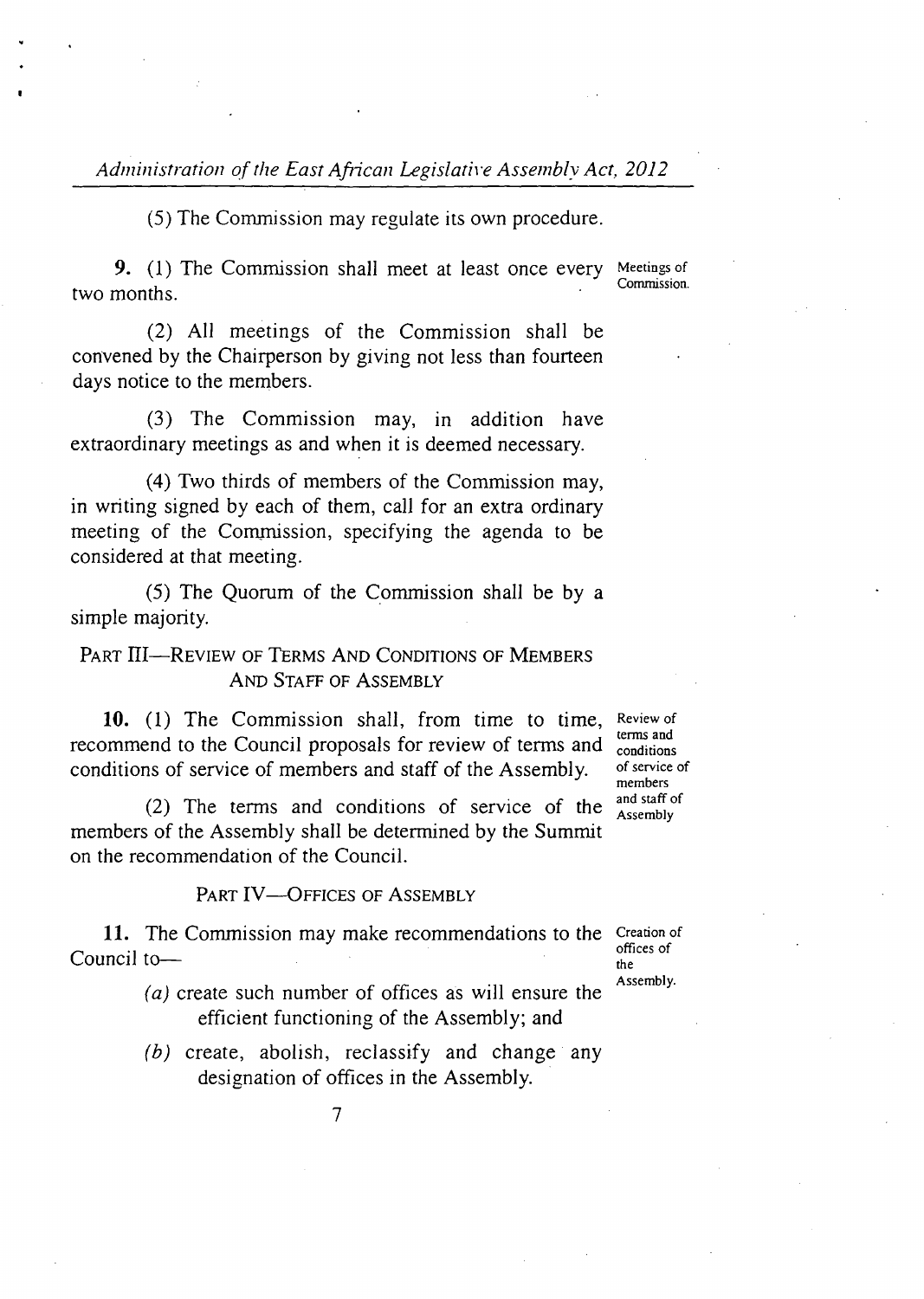*(5)* The Commission may regulate its own procedure.

**9.** (1) The Commission shall meet at least once every Meetings of Commission. two months.

All meetings of the Commission shall be convened by the Chairperson by giving not less than fourteen days notice to the members.

 $(3)$  The Commission may, in addition have extraordinary meetings as and when it is deemed necessary.

Two thirds of members of the Commission may, in writing signed by each of them, call for an extra ordinary meeting of the Commission, specifying the agenda to be considered at that meeting.

 $(5)$  The Quorum of the Commission shall be by a simple majority.

## PART III—REVIEW OF TERMS AND CONDITIONS OF MEMBERS AND STAFF OF ASSEMBLY

10. (1) The Commission shall, from time to time, Review of recommend to the Council proposals for review of terms and conditions conditions of service of members and staff of the Assembly. of service of members<br>and staff of

(2) The terms and conditions of service of the  $_{\text{Assembly}}^{a\text{nd start}}$ members of the Assembly shall be determined by the Summit on the recommendation of the Council.

PART IV-OFFICES OF ASSEMBLY

11. The Commission may make recommendations to the Creation of offices of  $\frac{1}{\pi}$  Council to—

- $(a)$  create such number of offices as will ensure the Assembly. efficient functioning of the Assembly; and
- $(b)$  create, abolish, reclassify and change any designation of offices in the Assembly.

*7*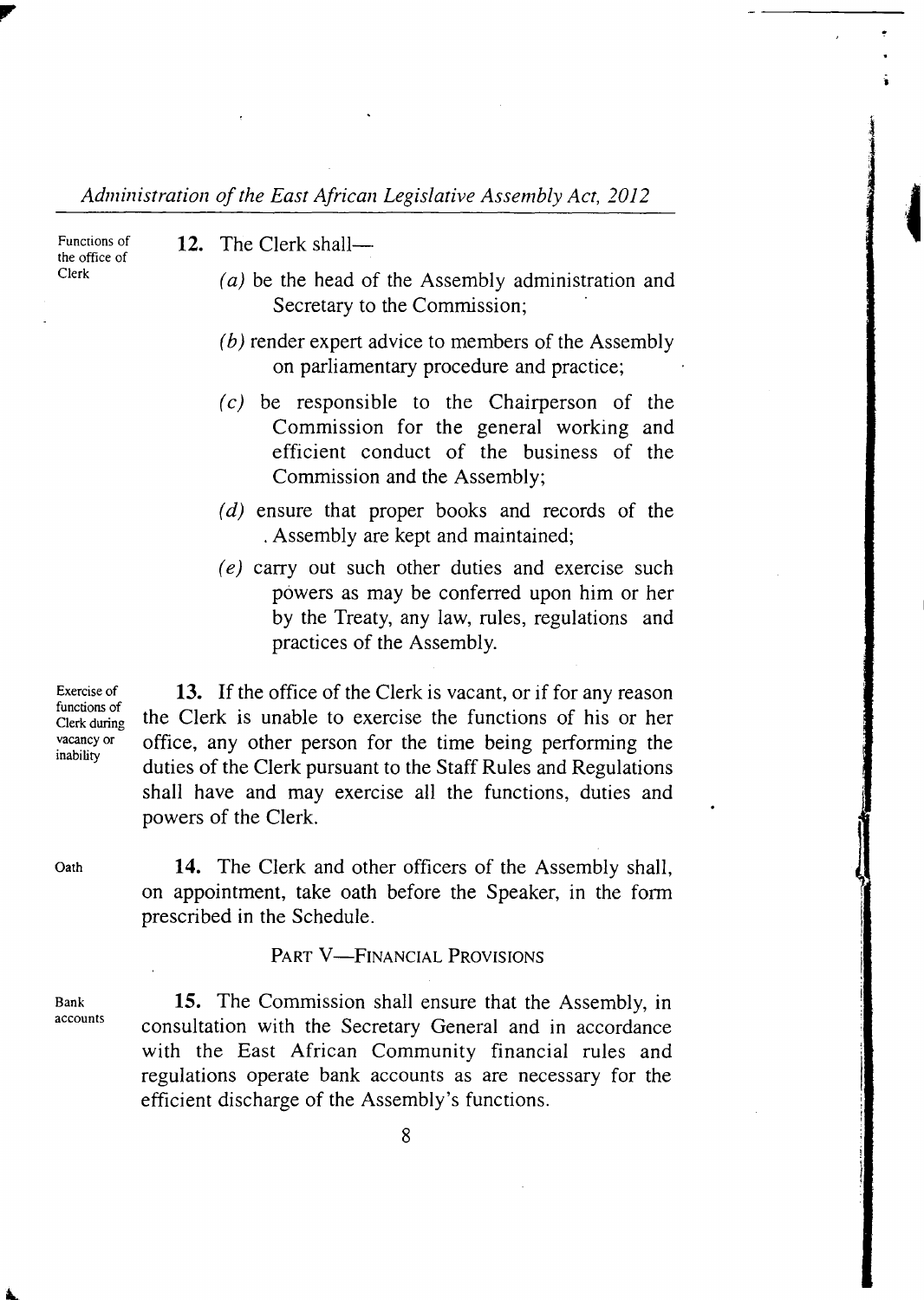the office of

- Functions of 12. The Clerk shall-
- Clerk *(a)* be the head of the Assembly administration and Secretary to the Commission;

**I** 

- $\mu(b)$  render expert advice to members of the Assembly on parliamentary procedure and practice;
- $(c)$  be responsible to the Chairperson of the Commission for the general working and efficient conduct of the business of the Commission and the Assembly;
- $(d)$  ensure that proper books and records of the Assembly are kept and maintained;
- $(e)$  carry out such other duties and exercise such powers as may be conferred upon him or her by the Treaty, any law, rules, regulations and practices of the Assembly.

Clerk during

Exercise of  $\begin{array}{c} 13. \text{ If the office of the Clerk is vacant, or if for any reason } \end{array}$ the Clerk is unable to exercise the functions of his or her vacancy or office, any other person for the time being performing the inability duties of the Clerk pursuant to the Staff Rules and Regulations shall have and may exercise all the functions, duties and powers of the Clerk.

Oath 14. The Clerk and other officers of the Assembly shall, on appointment, take oath before the Speaker, in the form prescribed in the Schedule.

### PART V—FINANCIAL PROVISIONS

Bank 15. The Commission shall ensure that the Assembly, in accounts consultation with the Secretary General and in accordance with the East African Community financial rules and regulations operate bank accounts as are necessary for the efficient discharge of the Assembly's functions.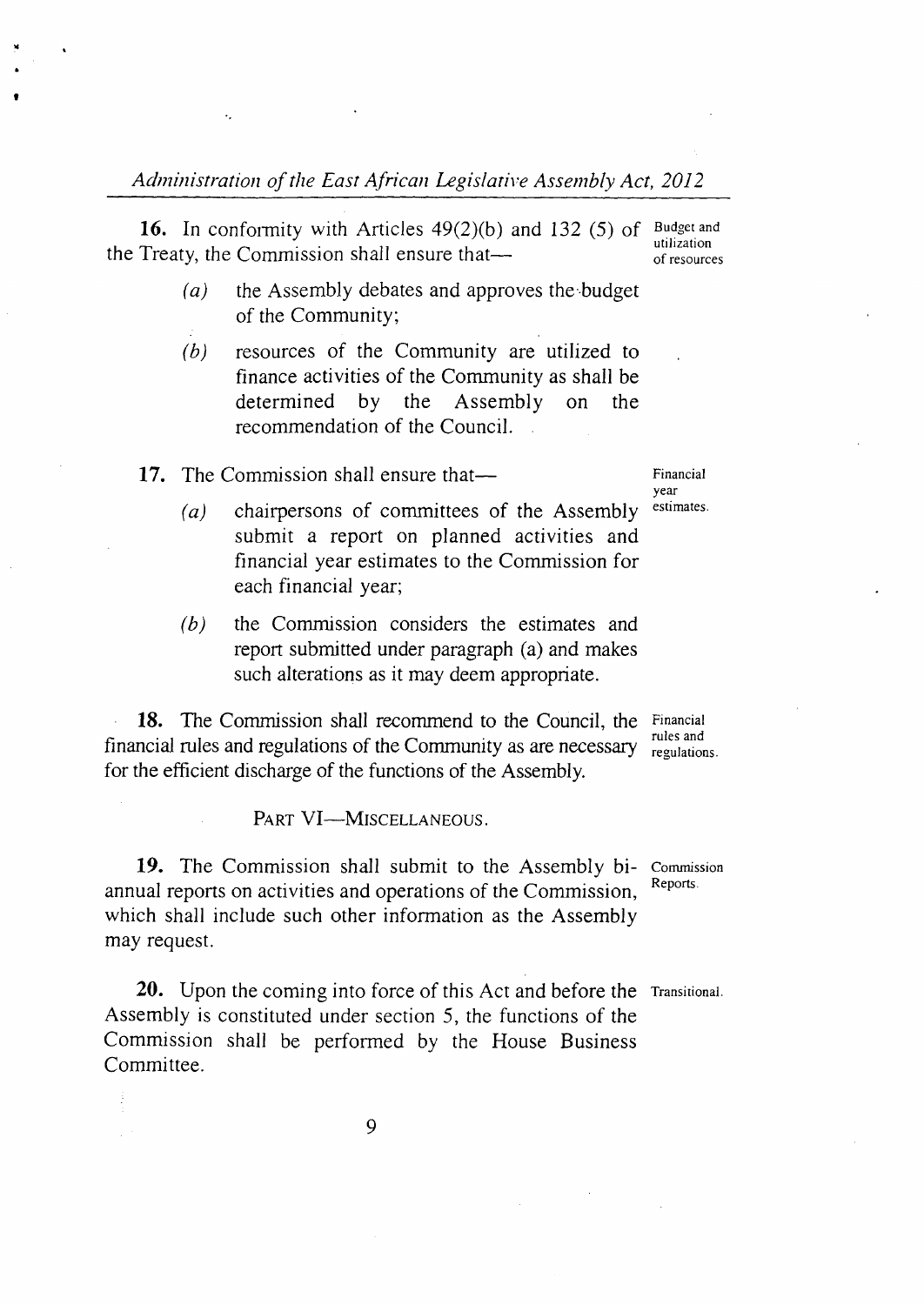16. In conformity with Articles 49(2)(b) and 132 (5) of Budget and the Treaty, the Commission shall ensure that— $\frac{u_{\text{unization}}}{v_{\text{of resources}}}$ 

- $(a)$ the Assembly debates and approves the.budget of the Community;
- $(b)$ resources of the Community are utilized to finance activities of the Community as shall be determined by the Assembly on the recommendation of the Council.

17. The Commission shall ensure that— Financial

td

year<br>estimates.

- chairpersons of committees of the Assembly  $(a)$ submit a report on planned activities and financial year estimates to the Commission for each financial year;
- $(b)$ the Commission considers the estimates and report submitted under paragraph (a) and makes such alterations as it may deem appropriate.

**18.** The Commission shall recommend to the Council, the Financial rules and financial rules and regulations of the Community as are necessary for the efficient discharge of the functions of the Assembly.

regulations.

PART VI-MISCELLANEOUS.

19. The Commission shall submit to the Assembly bi- Commission<br>usl magnette on activities and energians of the Commission. Reports. annual reports on activities and operations of the Commission, which shall include such other information as the Assembly may request.

**20.** Upon the coming into force of this Act and before the Transitional. Assembly is constituted under section *5,* the functions of the Commission shall be performed by the House Business Committee.

**9**